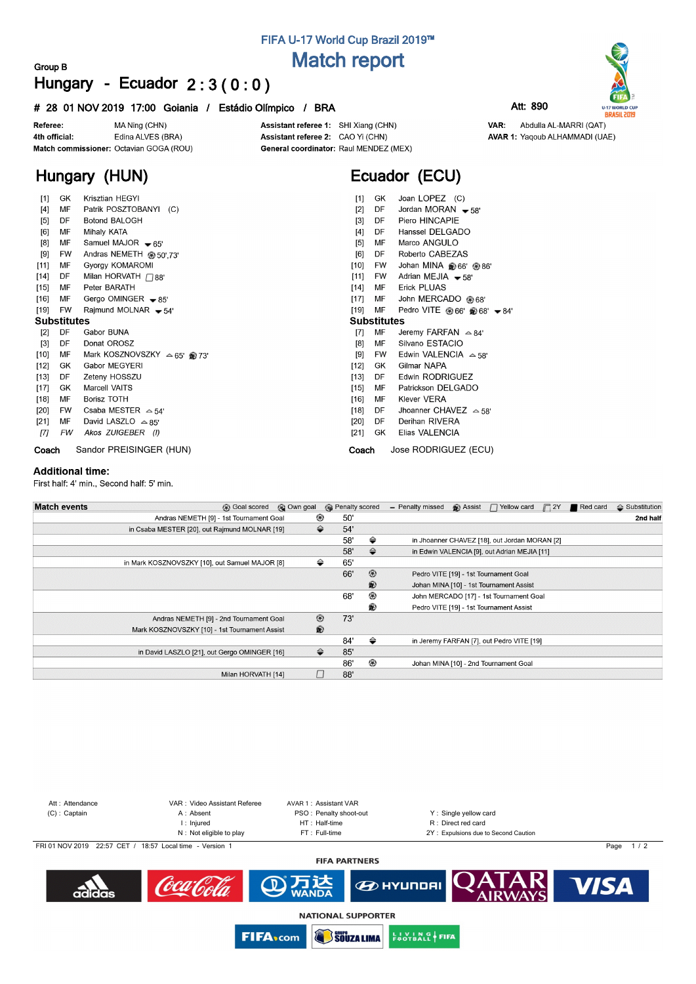## **FIFA U-17 World Cup Brazil 2019™ Match report**

## **Group B Hungary - Ecuador 2 : 3 ( 0 : 0 )**

### **# 28 01 NOV 2019 17:00 Goiania / Estádio Olímpico / BRA Att: 890**



**Hungary (HUN)**

Assistant referee 1: SHI Xiang (CHN) Assistant referee 2: CAO Yi (CHN) General coordinator: Raul MENDEZ (MEX)

# **Ecuador (ECU)**

VAR:

**U-17 WORLD CUP**<br>**BRASIL 2019** 

Abdulla AL-MARRI (QAT)

**AVAR 1: Yaqoub ALHAMMADI (UAE)** 

| $[1]$              | GK        | Krisztian HEGYI                      | $[1]$<br>Joan LOPEZ (C)<br>GK.                        |  |  |  |  |  |  |  |  |
|--------------------|-----------|--------------------------------------|-------------------------------------------------------|--|--|--|--|--|--|--|--|
| $[4]$              | МF        | Patrik POSZTOBANYI (C)               | Jordan MORAN $-58'$<br>$[2]$<br>DF                    |  |  |  |  |  |  |  |  |
| $[5]$              | DF        | Botond BALOGH                        | Piero HINCAPIE<br>$\lceil 3 \rceil$<br>DF.            |  |  |  |  |  |  |  |  |
| [6]                | МF        | Mihaly KATA                          | Hanssel DELGADO<br>[4]<br>DF                          |  |  |  |  |  |  |  |  |
| [8]                | МF        | Samuel MAJOR $\bullet$ 65'           | Marco ANGULO<br>[5]<br>MF                             |  |  |  |  |  |  |  |  |
| [9]                | FW        | Andras NEMETH @ 50',73'              | Roberto CABEZAS<br>[6]<br>DF                          |  |  |  |  |  |  |  |  |
| $[11]$             | MF        | Gyorgy KOMAROMI                      | $[10]$<br>Johan MINA @ 66' @ 86'<br>FW                |  |  |  |  |  |  |  |  |
| $[14]$             | DF        | Milan HORVATH $\bigcap$ 88'          | Adrian MEJIA $-58'$<br>[11]<br>FW                     |  |  |  |  |  |  |  |  |
| $[15]$             | МF        | Peter BARATH                         | <b>Erick PLUAS</b><br>$[14]$<br>MF                    |  |  |  |  |  |  |  |  |
| $[16]$             | МF        | Gergo OMINGER $-85'$                 | John MERCADO @ 68'<br>$[17]$<br>MF                    |  |  |  |  |  |  |  |  |
| $[19]$             | FW        | Rajmund MOLNAR $-54'$                | $[19]$<br>MF<br>Pedro VITE ⊛66' @68' <del>v</del> 84' |  |  |  |  |  |  |  |  |
| <b>Substitutes</b> |           |                                      | <b>Substitutes</b>                                    |  |  |  |  |  |  |  |  |
| [2]                | DF        | Gabor BUNA                           | $[7]$<br>MF<br>Jeremy FARFAN $\approx 84'$            |  |  |  |  |  |  |  |  |
| $[3]$              | DF        | Donat OROSZ                          | Silvano ESTACIO<br>[8]<br>МF                          |  |  |  |  |  |  |  |  |
| $[10]$             | МF        | Mark KOSZNOVSZKY $\approx 65'$ @ 73' | Edwin VALENCIA $\sim$ 58'<br>[9]<br><b>FW</b>         |  |  |  |  |  |  |  |  |
| $[12]$             | GK        | Gabor MEGYERI                        | $[12]$<br>Gilmar NAPA<br>GK                           |  |  |  |  |  |  |  |  |
| $[13]$             | DF        | Zeteny HOSSZU                        | <b>Edwin RODRIGUEZ</b><br>$[13]$<br>DF                |  |  |  |  |  |  |  |  |
| $[17]$             | GK        | Marcell VAITS                        | Patrickson DELGADO<br>$[15]$<br>MF                    |  |  |  |  |  |  |  |  |
| $[18]$             | МF        | <b>Borisz TOTH</b>                   | <b>Klever VERA</b><br>$[16]$<br>МF                    |  |  |  |  |  |  |  |  |
| $[20]$             | <b>FW</b> | Csaba MESTER $\approx$ 54'           | Jhoanner CHAVEZ $\approx$ 58'<br>DF<br>$[18]$         |  |  |  |  |  |  |  |  |
| [21]               | МF        | David LASZLO $\triangle$ 85'         | Derihan RIVERA<br>$[20]$<br>DF                        |  |  |  |  |  |  |  |  |
| [T]                | FW        | Akos ZUIGEBER (I)                    | Elias VALENCIA<br>[21]<br>GK                          |  |  |  |  |  |  |  |  |
| Coach              |           | Sandor PREISINGER (HUN)              | Jose RODRIGUEZ (ECU)<br>Coach                         |  |  |  |  |  |  |  |  |

#### **Additional time:**

First half: 4' min., Second half: 5' min.

| <b>Match events</b><br><b>B</b> Goal scored    | © Own goal     | <b>B</b> Penalty scored |                | - Penalty missed | $\bigcirc$ Assist $\bigcap$ Yellow card       | $\Box$ 2Y | Red card | $\triangle$ Substitution |
|------------------------------------------------|----------------|-------------------------|----------------|------------------|-----------------------------------------------|-----------|----------|--------------------------|
| Andras NEMETH [9] - 1st Tournament Goal        | ⊛              | 50'                     |                |                  |                                               |           |          | 2nd half                 |
| in Csaba MESTER [20], out Rajmund MOLNAR [19]  | ⇔              | 54'                     |                |                  |                                               |           |          |                          |
|                                                |                | 58'                     | ⇔              |                  | in Jhoanner CHAVEZ [18], out Jordan MORAN [2] |           |          |                          |
|                                                |                | 58'                     | $\Rightarrow$  |                  | in Edwin VALENCIA [9], out Adrian MEJIA [11]  |           |          |                          |
| in Mark KOSZNOVSZKY [10], out Samuel MAJOR [8] | ⇔              | 65'                     |                |                  |                                               |           |          |                          |
|                                                |                | 66'                     | $\circledcirc$ |                  | Pedro VITE [19] - 1st Tournament Goal         |           |          |                          |
|                                                |                |                         | ®              |                  | Johan MINA [10] - 1st Tournament Assist       |           |          |                          |
|                                                |                | 68'                     | ◉              |                  | John MERCADO [17] - 1st Tournament Goal       |           |          |                          |
|                                                |                |                         | ®              |                  | Pedro VITE [19] - 1st Tournament Assist       |           |          |                          |
| Andras NEMETH [9] - 2nd Tournament Goal        | $^{\circledR}$ | 73'                     |                |                  |                                               |           |          |                          |
| Mark KOSZNOVSZKY [10] - 1st Tournament Assist  | $\circledR$    |                         |                |                  |                                               |           |          |                          |
|                                                |                | 84'                     | ⇔              |                  | in Jeremy FARFAN [7], out Pedro VITE [19]     |           |          |                          |
| in David LASZLO [21], out Gergo OMINGER [16]   | ⇔              | 85'                     |                |                  |                                               |           |          |                          |
|                                                |                | 86'                     | ⊛              |                  | Johan MINA [10] - 2nd Tournament Goal         |           |          |                          |
| Milan HORVATH [14]                             |                | 88'                     |                |                  |                                               |           |          |                          |



**NATIONAL SUPPORTER** 

**SOUZA LIMA** 

**ENOTBALL FIFA** 

WANDA

**FIFA**<sub>com</sub>